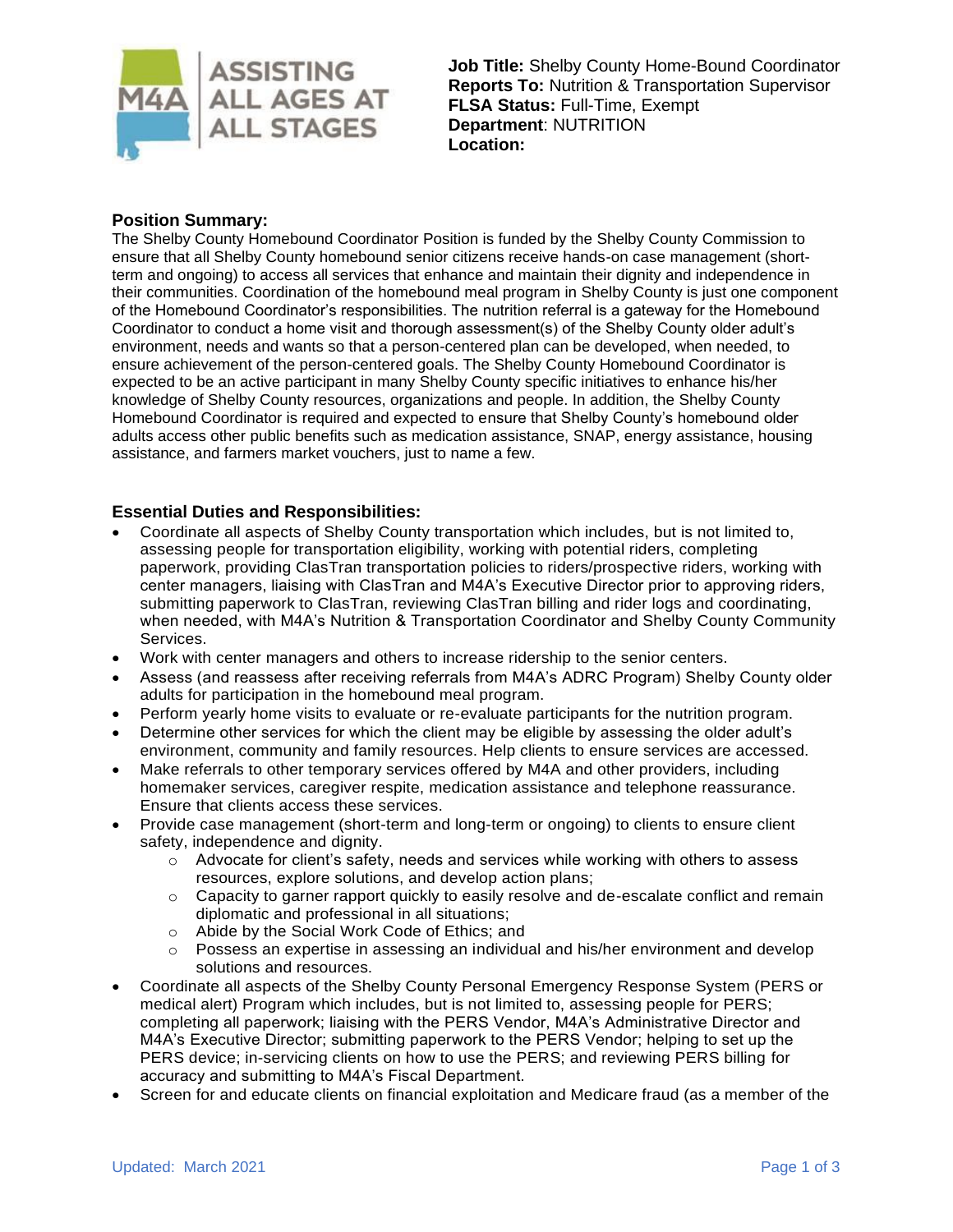

**Job Title:** Shelby County Home-Bound Coordinator **Reports To:** Nutrition & Transportation Supervisor **FLSA Status:** Full-Time, Exempt **Department**: NUTRITION **Location:**

# **Position Summary:**

The Shelby County Homebound Coordinator Position is funded by the Shelby County Commission to ensure that all Shelby County homebound senior citizens receive hands-on case management (shortterm and ongoing) to access all services that enhance and maintain their dignity and independence in their communities. Coordination of the homebound meal program in Shelby County is just one component of the Homebound Coordinator's responsibilities. The nutrition referral is a gateway for the Homebound Coordinator to conduct a home visit and thorough assessment(s) of the Shelby County older adult's environment, needs and wants so that a person-centered plan can be developed, when needed, to ensure achievement of the person-centered goals. The Shelby County Homebound Coordinator is expected to be an active participant in many Shelby County specific initiatives to enhance his/her knowledge of Shelby County resources, organizations and people. In addition, the Shelby County Homebound Coordinator is required and expected to ensure that Shelby County's homebound older adults access other public benefits such as medication assistance, SNAP, energy assistance, housing assistance, and farmers market vouchers, just to name a few.

## **Essential Duties and Responsibilities:**

- Coordinate all aspects of Shelby County transportation which includes, but is not limited to, assessing people for transportation eligibility, working with potential riders, completing paperwork, providing ClasTran transportation policies to riders/prospective riders, working with center managers, liaising with ClasTran and M4A's Executive Director prior to approving riders, submitting paperwork to ClasTran, reviewing ClasTran billing and rider logs and coordinating, when needed, with M4A's Nutrition & Transportation Coordinator and Shelby County Community Services.
- Work with center managers and others to increase ridership to the senior centers.
- Assess (and reassess after receiving referrals from M4A's ADRC Program) Shelby County older adults for participation in the homebound meal program.
- Perform yearly home visits to evaluate or re-evaluate participants for the nutrition program.
- Determine other services for which the client may be eligible by assessing the older adult's environment, community and family resources. Help clients to ensure services are accessed.
- Make referrals to other temporary services offered by M4A and other providers, including homemaker services, caregiver respite, medication assistance and telephone reassurance. Ensure that clients access these services.
- Provide case management (short-term and long-term or ongoing) to clients to ensure client safety, independence and dignity.
	- $\circ$  Advocate for client's safety, needs and services while working with others to assess resources, explore solutions, and develop action plans;
	- $\circ$  Capacity to garner rapport quickly to easily resolve and de-escalate conflict and remain diplomatic and professional in all situations;
	- o Abide by the Social Work Code of Ethics; and
	- o Possess an expertise in assessing an individual and his/her environment and develop solutions and resources.
- Coordinate all aspects of the Shelby County Personal Emergency Response System (PERS or medical alert) Program which includes, but is not limited to, assessing people for PERS; completing all paperwork; liaising with the PERS Vendor, M4A's Administrative Director and M4A's Executive Director; submitting paperwork to the PERS Vendor; helping to set up the PERS device; in-servicing clients on how to use the PERS; and reviewing PERS billing for accuracy and submitting to M4A's Fiscal Department.
- Screen for and educate clients on financial exploitation and Medicare fraud (as a member of the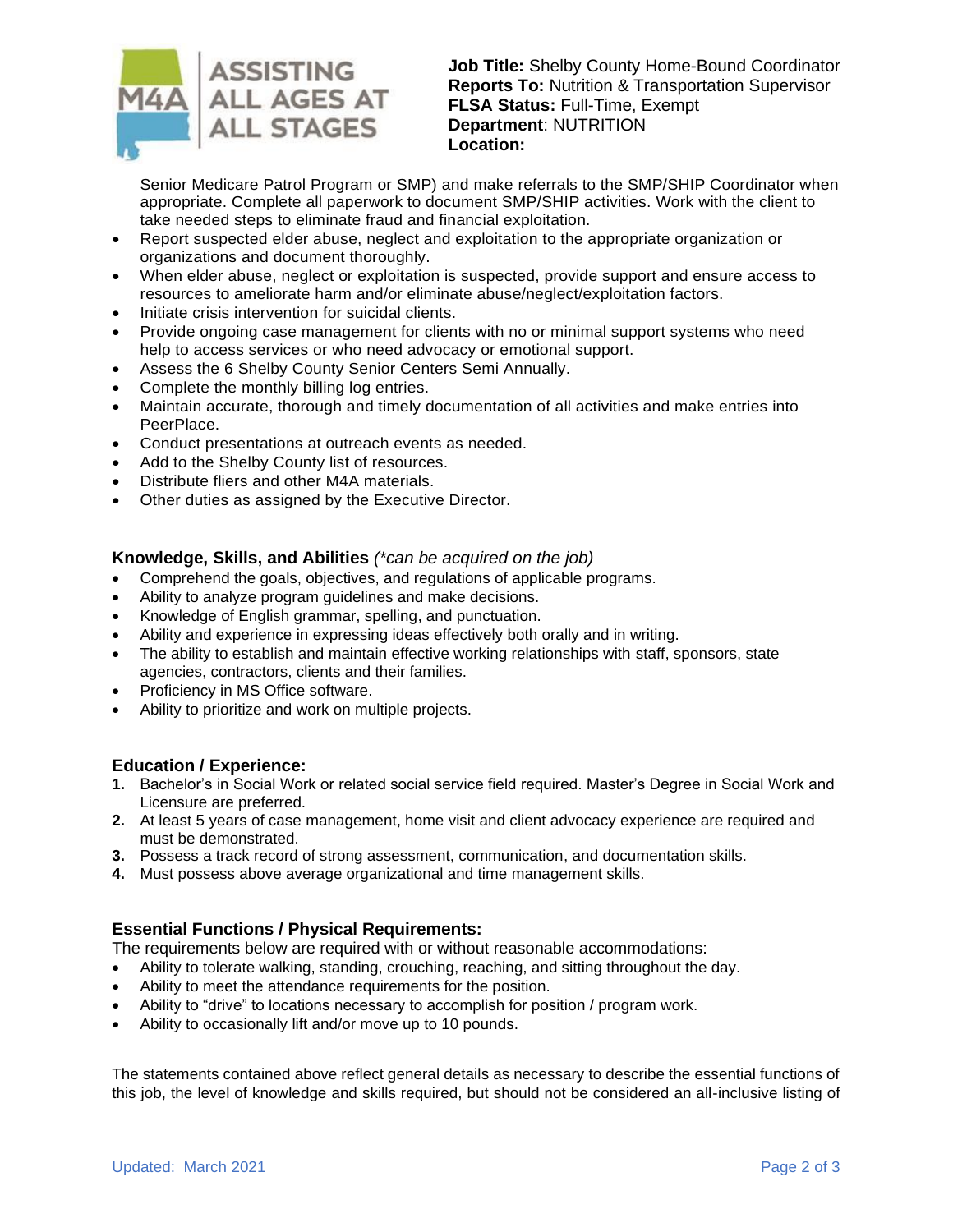

**Job Title:** Shelby County Home-Bound Coordinator **Reports To:** Nutrition & Transportation Supervisor **FLSA Status:** Full-Time, Exempt **Department**: NUTRITION **Location:**

Senior Medicare Patrol Program or SMP) and make referrals to the SMP/SHIP Coordinator when appropriate. Complete all paperwork to document SMP/SHIP activities. Work with the client to take needed steps to eliminate fraud and financial exploitation.

- Report suspected elder abuse, neglect and exploitation to the appropriate organization or organizations and document thoroughly.
- When elder abuse, neglect or exploitation is suspected, provide support and ensure access to resources to ameliorate harm and/or eliminate abuse/neglect/exploitation factors.
- Initiate crisis intervention for suicidal clients.
- Provide ongoing case management for clients with no or minimal support systems who need help to access services or who need advocacy or emotional support.
- Assess the 6 Shelby County Senior Centers Semi Annually.
- Complete the monthly billing log entries.
- Maintain accurate, thorough and timely documentation of all activities and make entries into PeerPlace.
- Conduct presentations at outreach events as needed.
- Add to the Shelby County list of resources.
- Distribute fliers and other M4A materials.
- Other duties as assigned by the Executive Director.

#### **Knowledge, Skills, and Abilities** *(\*can be acquired on the job)*

- Comprehend the goals, objectives, and regulations of applicable programs.
- Ability to analyze program guidelines and make decisions.
- Knowledge of English grammar, spelling, and punctuation.
- Ability and experience in expressing ideas effectively both orally and in writing.
- The ability to establish and maintain effective working relationships with staff, sponsors, state agencies, contractors, clients and their families.
- Proficiency in MS Office software.
- Ability to prioritize and work on multiple projects.

## **Education / Experience:**

- **1.** Bachelor's in Social Work or related social service field required. Master's Degree in Social Work and Licensure are preferred.
- **2.** At least 5 years of case management, home visit and client advocacy experience are required and must be demonstrated.
- **3.** Possess a track record of strong assessment, communication, and documentation skills.
- **4.** Must possess above average organizational and time management skills.

## **Essential Functions / Physical Requirements:**

The requirements below are required with or without reasonable accommodations:

- Ability to tolerate walking, standing, crouching, reaching, and sitting throughout the day.
- Ability to meet the attendance requirements for the position.
- Ability to "drive" to locations necessary to accomplish for position / program work.
- Ability to occasionally lift and/or move up to 10 pounds.

The statements contained above reflect general details as necessary to describe the essential functions of this job, the level of knowledge and skills required, but should not be considered an all-inclusive listing of